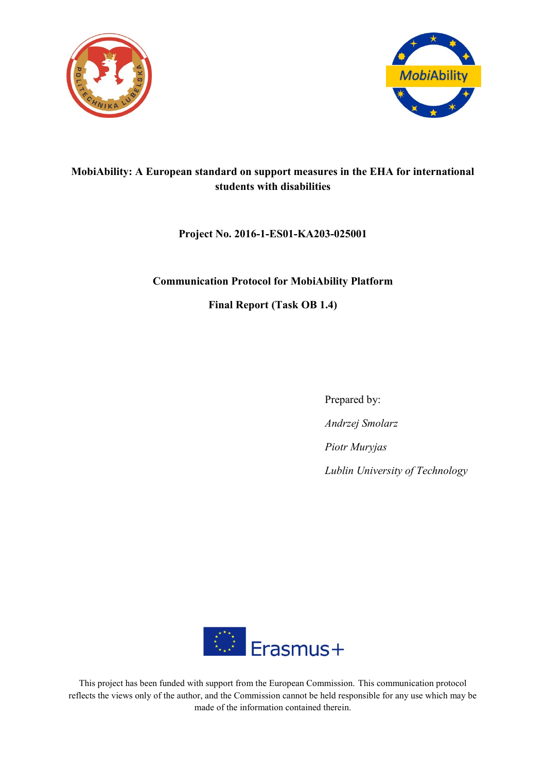



# **MobiAbility: A European standard on support measures in the EHA for international students with disabilities**

## **Project No. 2016-1-ES01-KA203-025001**

#### **Communication Protocol for MobiAbility Platform**

**Final Report (Task OB 1.4)**

Prepared by: *Andrzej Smolarz Piotr Muryjas Lublin University of Technology*



This project has been funded with support from the European Commission. This communication protocol reflects the views only of the author, and the Commission cannot be held responsible for any use which may be made of the information contained therein.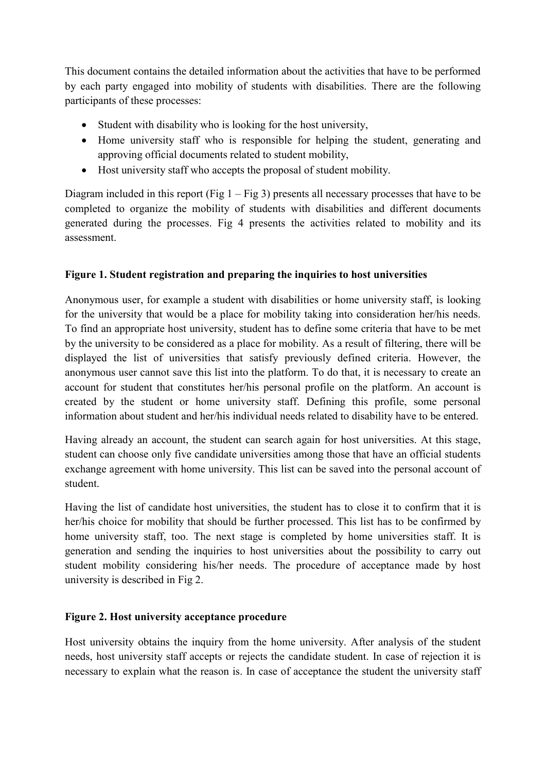This document contains the detailed information about the activities that have to be performed by each party engaged into mobility of students with disabilities. There are the following participants of these processes:

- Student with disability who is looking for the host university,
- Home university staff who is responsible for helping the student, generating and approving official documents related to student mobility,
- Host university staff who accepts the proposal of student mobility.

Diagram included in this report (Fig  $1 - Fig 3$ ) presents all necessary processes that have to be completed to organize the mobility of students with disabilities and different documents generated during the processes. Fig 4 presents the activities related to mobility and its assessment.

### **Figure 1. Student registration and preparing the inquiries to host universities**

Anonymous user, for example a student with disabilities or home university staff, is looking for the university that would be a place for mobility taking into consideration her/his needs. To find an appropriate host university, student has to define some criteria that have to be met by the university to be considered as a place for mobility. As a result of filtering, there will be displayed the list of universities that satisfy previously defined criteria. However, the anonymous user cannot save this list into the platform. To do that, it is necessary to create an account for student that constitutes her/his personal profile on the platform. An account is created by the student or home university staff. Defining this profile, some personal information about student and her/his individual needs related to disability have to be entered.

Having already an account, the student can search again for host universities. At this stage, student can choose only five candidate universities among those that have an official students exchange agreement with home university. This list can be saved into the personal account of student.

Having the list of candidate host universities, the student has to close it to confirm that it is her/his choice for mobility that should be further processed. This list has to be confirmed by home university staff, too. The next stage is completed by home universities staff. It is generation and sending the inquiries to host universities about the possibility to carry out student mobility considering his/her needs. The procedure of acceptance made by host university is described in Fig 2.

### **Figure 2. Host university acceptance procedure**

Host university obtains the inquiry from the home university. After analysis of the student needs, host university staff accepts or rejects the candidate student. In case of rejection it is necessary to explain what the reason is. In case of acceptance the student the university staff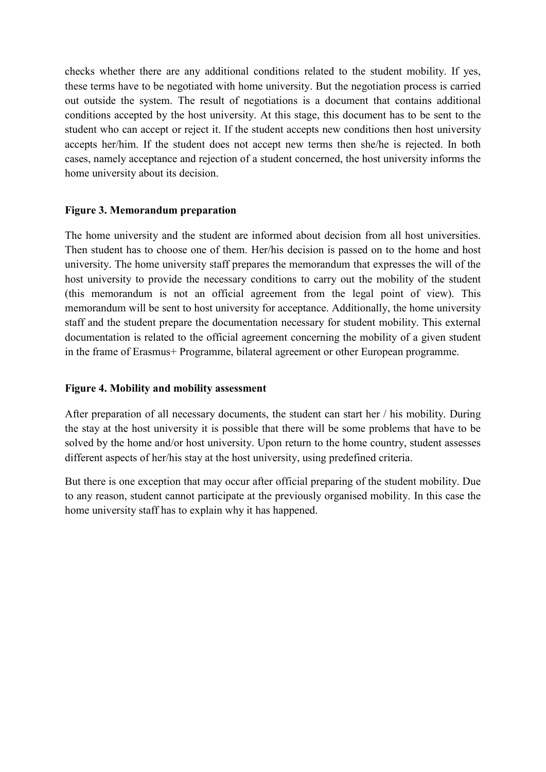checks whether there are any additional conditions related to the student mobility. If yes, these terms have to be negotiated with home university. But the negotiation process is carried out outside the system. The result of negotiations is a document that contains additional conditions accepted by the host university. At this stage, this document has to be sent to the student who can accept or reject it. If the student accepts new conditions then host university accepts her/him. If the student does not accept new terms then she/he is rejected. In both cases, namely acceptance and rejection of a student concerned, the host university informs the home university about its decision.

#### **Figure 3. Memorandum preparation**

The home university and the student are informed about decision from all host universities. Then student has to choose one of them. Her/his decision is passed on to the home and host university. The home university staff prepares the memorandum that expresses the will of the host university to provide the necessary conditions to carry out the mobility of the student (this memorandum is not an official agreement from the legal point of view). This memorandum will be sent to host university for acceptance. Additionally, the home university staff and the student prepare the documentation necessary for student mobility. This external documentation is related to the official agreement concerning the mobility of a given student in the frame of Erasmus+ Programme, bilateral agreement or other European programme.

#### **Figure 4. Mobility and mobility assessment**

After preparation of all necessary documents, the student can start her / his mobility. During the stay at the host university it is possible that there will be some problems that have to be solved by the home and/or host university. Upon return to the home country, student assesses different aspects of her/his stay at the host university, using predefined criteria.

But there is one exception that may occur after official preparing of the student mobility. Due to any reason, student cannot participate at the previously organised mobility. In this case the home university staff has to explain why it has happened.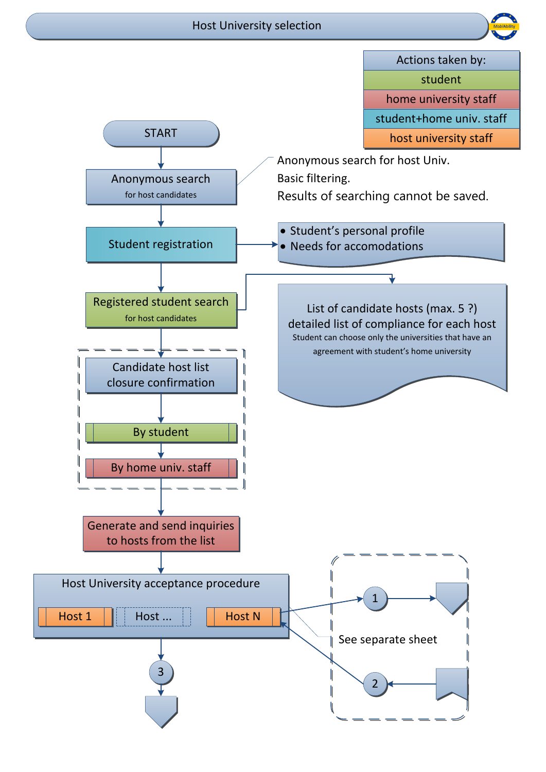## Host University selection



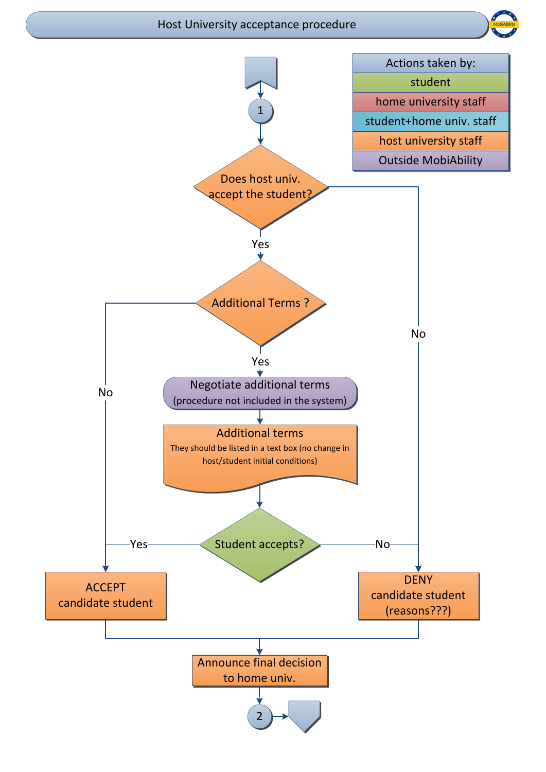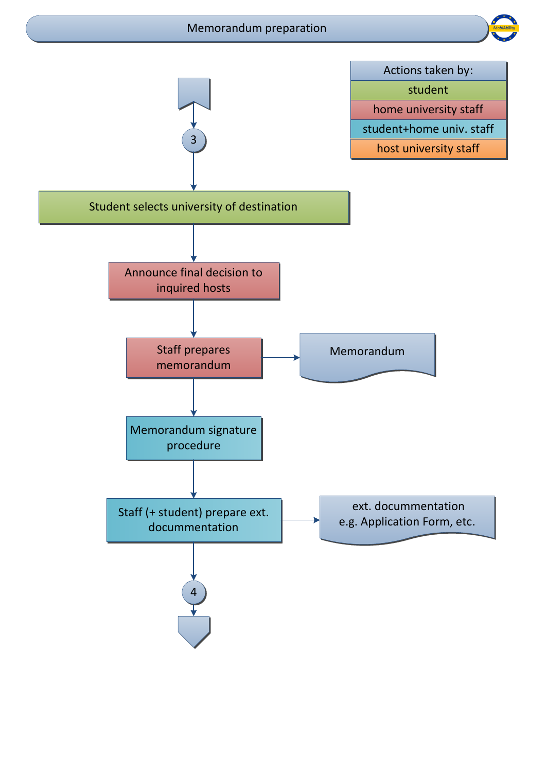## Memorandum preparation